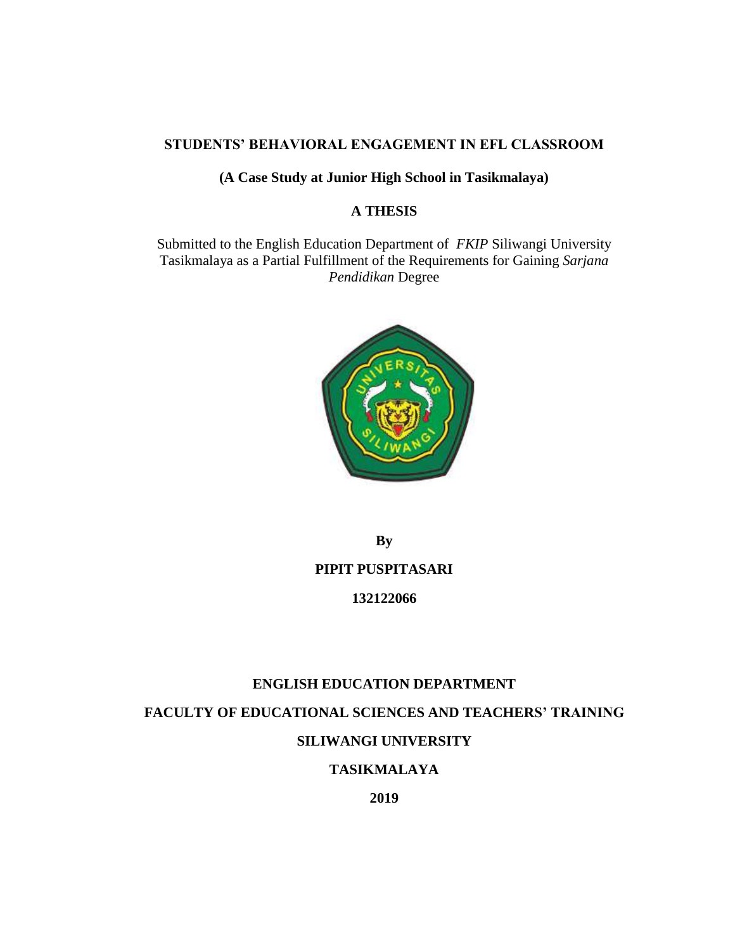## **STUDENTS' BEHAVIORAL ENGAGEMENT IN EFL CLASSROOM**

### **(A Case Study at Junior High School in Tasikmalaya)**

## **A THESIS**

Submitted to the English Education Department of *FKIP* Siliwangi University Tasikmalaya as a Partial Fulfillment of the Requirements for Gaining *Sarjana Pendidikan* Degree



**By** 

## **PIPIT PUSPITASARI**

### **132122066**

### **ENGLISH EDUCATION DEPARTMENT**

**FACULTY OF EDUCATIONAL SCIENCES AND TEACHERS' TRAINING**

## **SILIWANGI UNIVERSITY**

## **TASIKMALAYA**

**2019**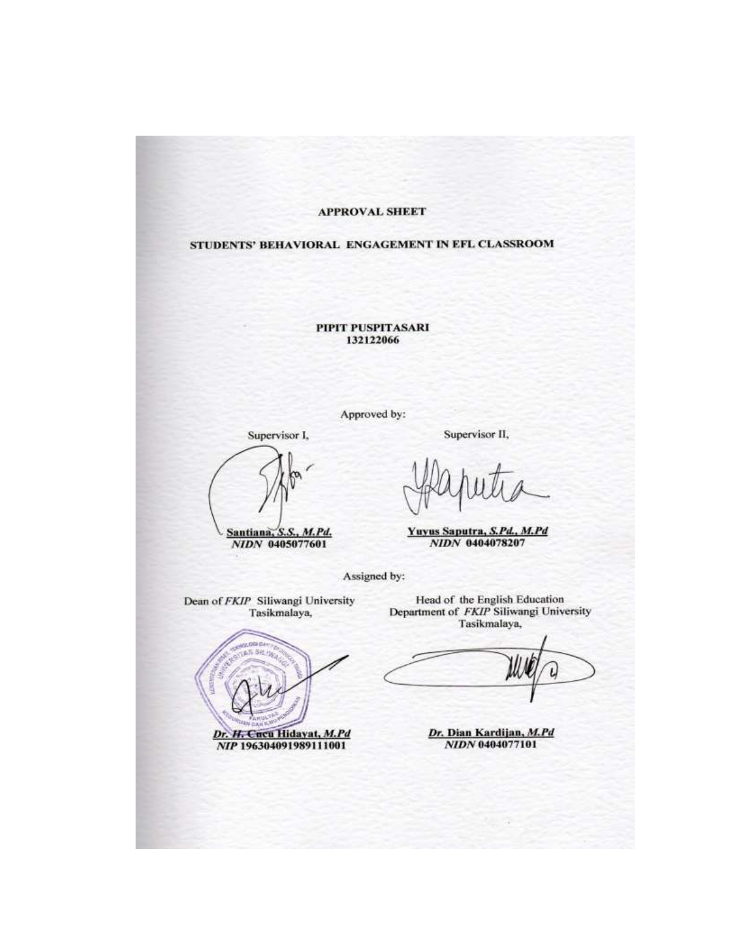#### **APPROVAL SHEET**

#### STUDENTS' BEHAVIORAL ENGAGEMENT IN EFL CLASSROOM

PIPIT PUSPITASARI 132122066

Approved by:

Supervisor I,

Santiana, S.S., M.Pd.<br>NIDN 0405077601

Supervisor II,

Yuyus Saputra, S.Pd., M.Pd NIDN 0404078207

Assigned by:

Dean of FKIP Siliwangi University Tasikmalaya,

S SHL/16 Dr. H. Cucu Hidayat, M.Pd

NIP 196304091989111001

Head of the English Education<br>Department of *FKIP* Siliwangi University Tasikmalaya,

Dr. Dian Kardijan, M.Pd NIDN 0404077101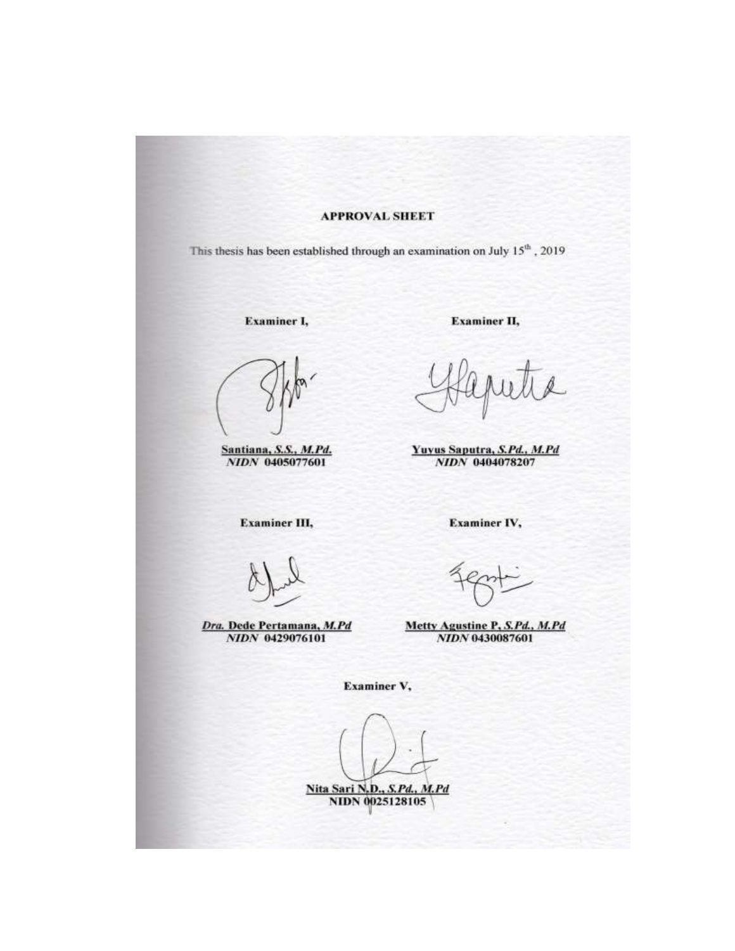#### **APPROVAL SHEET**

This thesis has been established through an examination on July 15<sup>th</sup>, 2019

**Examiner I,** 

Santiana, S.S., M.Pd.<br>NIDN 0405077601

**Examiner III,** 

Dra. Dede Pertamana, M.Pd<br>NIDN 0429076101

**Examiner II,** 

Yuyus Saputra, S.Pd., M.Pd NIDN 0404078207

Examiner IV,

Metty Agustine P, S.Pd., M.Pd NIDN 0430087601

Examiner V,

**Nita Sari N.D., S.Pd., M.Pd**<br>NIDN 0025128105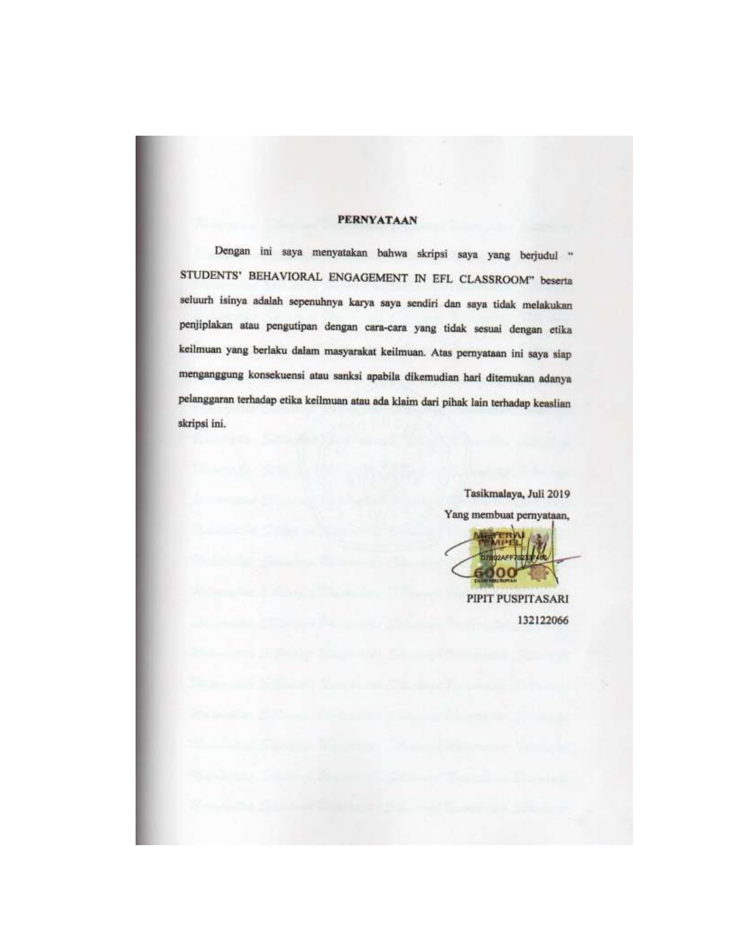#### **PERNYATAAN**

Dengan ini saya menyatakan bahwa skripsi saya yang berjudul " STUDENTS' BEHAVIORAL ENGAGEMENT IN EFL CLASSROOM" beserta seluurh isinya adalah sepenuhnya karya saya sendiri dan saya tidak melakukan penjiplakan atau pengutipan dengan cara-cara yang tidak sesuai dengan etika keilmuan yang berlaku dalam masyarakat keilmuan. Atas pernyataan ini saya siap menganggung konsekuensi atau sanksi apabila dikemudian hari ditemukan adanya pelanggaran terhadap etika keilmuan atau ada klaim dari pihak lain terhadap keaslian skripsi ini.

> Tasikmalaya, Juli 2019 Yang membuat pernyataan,

PIPIT PUSPITASARI 132122066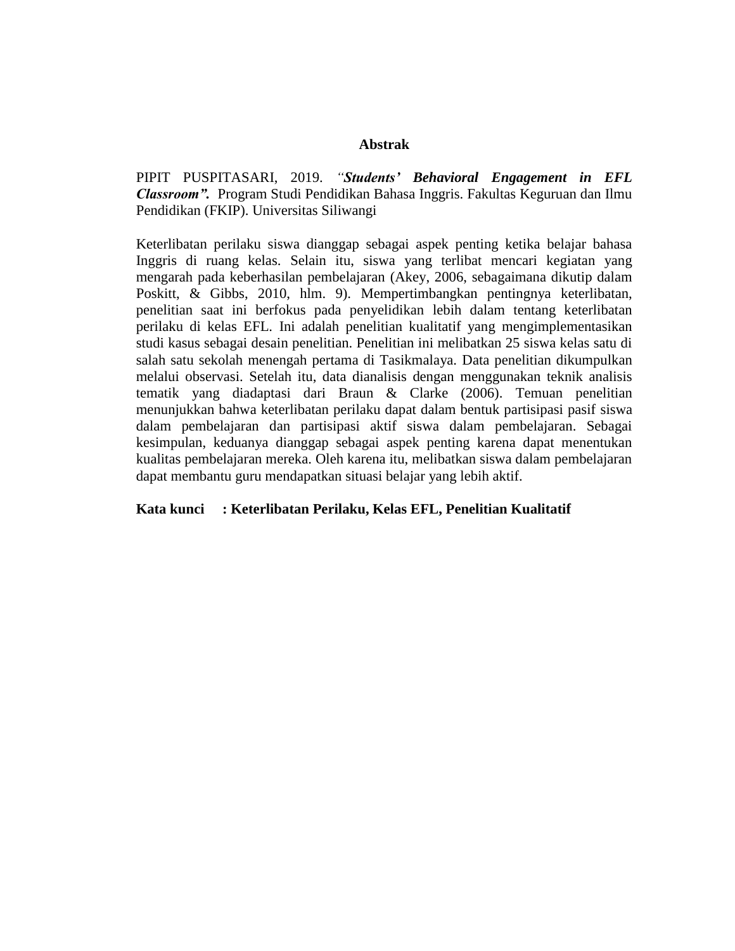#### **Abstrak**

PIPIT PUSPITASARI, 2019. *"Students' Behavioral Engagement in EFL Classroom".* Program Studi Pendidikan Bahasa Inggris. Fakultas Keguruan dan Ilmu Pendidikan (FKIP). Universitas Siliwangi

Keterlibatan perilaku siswa dianggap sebagai aspek penting ketika belajar bahasa Inggris di ruang kelas. Selain itu, siswa yang terlibat mencari kegiatan yang mengarah pada keberhasilan pembelajaran (Akey, 2006, sebagaimana dikutip dalam Poskitt, & Gibbs, 2010, hlm. 9). Mempertimbangkan pentingnya keterlibatan, penelitian saat ini berfokus pada penyelidikan lebih dalam tentang keterlibatan perilaku di kelas EFL. Ini adalah penelitian kualitatif yang mengimplementasikan studi kasus sebagai desain penelitian. Penelitian ini melibatkan 25 siswa kelas satu di salah satu sekolah menengah pertama di Tasikmalaya. Data penelitian dikumpulkan melalui observasi. Setelah itu, data dianalisis dengan menggunakan teknik analisis tematik yang diadaptasi dari Braun & Clarke (2006). Temuan penelitian menunjukkan bahwa keterlibatan perilaku dapat dalam bentuk partisipasi pasif siswa dalam pembelajaran dan partisipasi aktif siswa dalam pembelajaran. Sebagai kesimpulan, keduanya dianggap sebagai aspek penting karena dapat menentukan kualitas pembelajaran mereka. Oleh karena itu, melibatkan siswa dalam pembelajaran dapat membantu guru mendapatkan situasi belajar yang lebih aktif.

#### **Kata kunci : Keterlibatan Perilaku, Kelas EFL, Penelitian Kualitatif**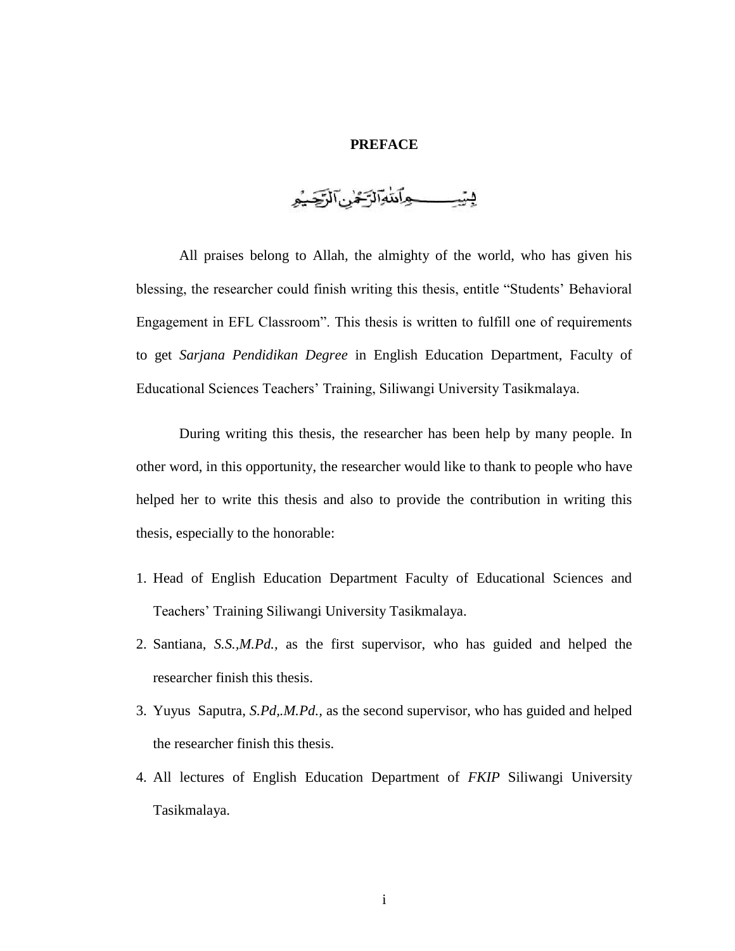#### **PREFACE**

يستيكسب وآتنوانزهم الركيه

All praises belong to Allah, the almighty of the world, who has given his blessing, the researcher could finish writing this thesis, entitle "Students' Behavioral Engagement in EFL Classroom". This thesis is written to fulfill one of requirements to get *Sarjana Pendidikan Degree* in English Education Department, Faculty of Educational Sciences Teachers' Training, Siliwangi University Tasikmalaya.

During writing this thesis, the researcher has been help by many people. In other word, in this opportunity, the researcher would like to thank to people who have helped her to write this thesis and also to provide the contribution in writing this thesis, especially to the honorable:

- 1. Head of English Education Department Faculty of Educational Sciences and Teachers' Training Siliwangi University Tasikmalaya.
- 2. Santiana, *S.S.,M.Pd.,* as the first supervisor, who has guided and helped the researcher finish this thesis.
- 3. Yuyus Saputra, *S.Pd,.M.Pd.,* as the second supervisor, who has guided and helped the researcher finish this thesis.
- 4. All lectures of English Education Department of *FKIP* Siliwangi University Tasikmalaya.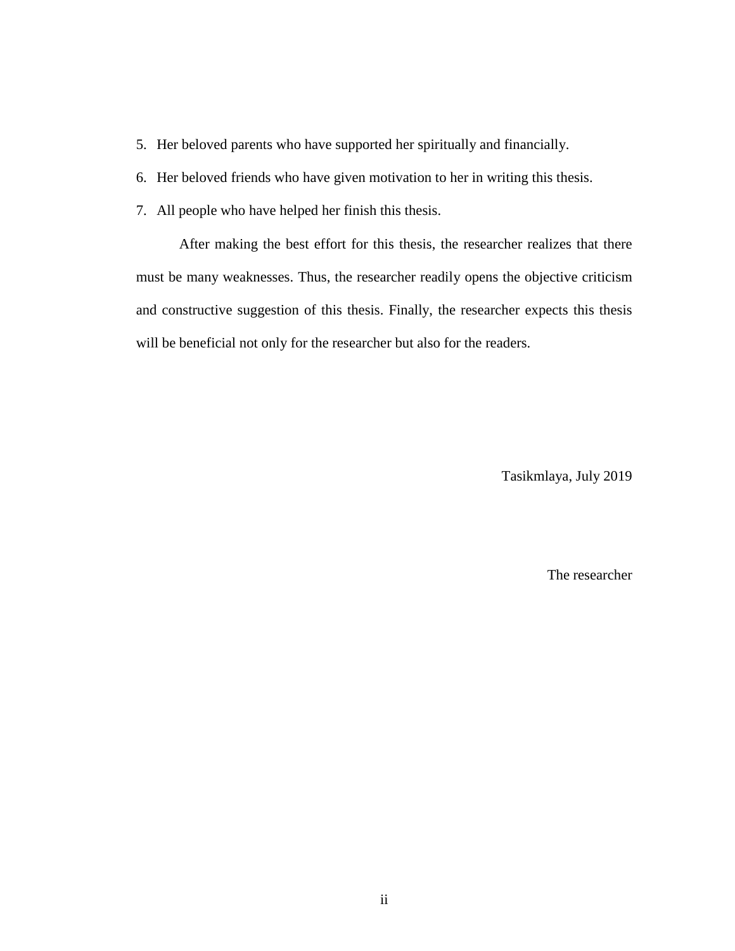- 5. Her beloved parents who have supported her spiritually and financially.
- 6. Her beloved friends who have given motivation to her in writing this thesis.
- 7. All people who have helped her finish this thesis.

After making the best effort for this thesis, the researcher realizes that there must be many weaknesses. Thus, the researcher readily opens the objective criticism and constructive suggestion of this thesis. Finally, the researcher expects this thesis will be beneficial not only for the researcher but also for the readers.

Tasikmlaya, July 2019

The researcher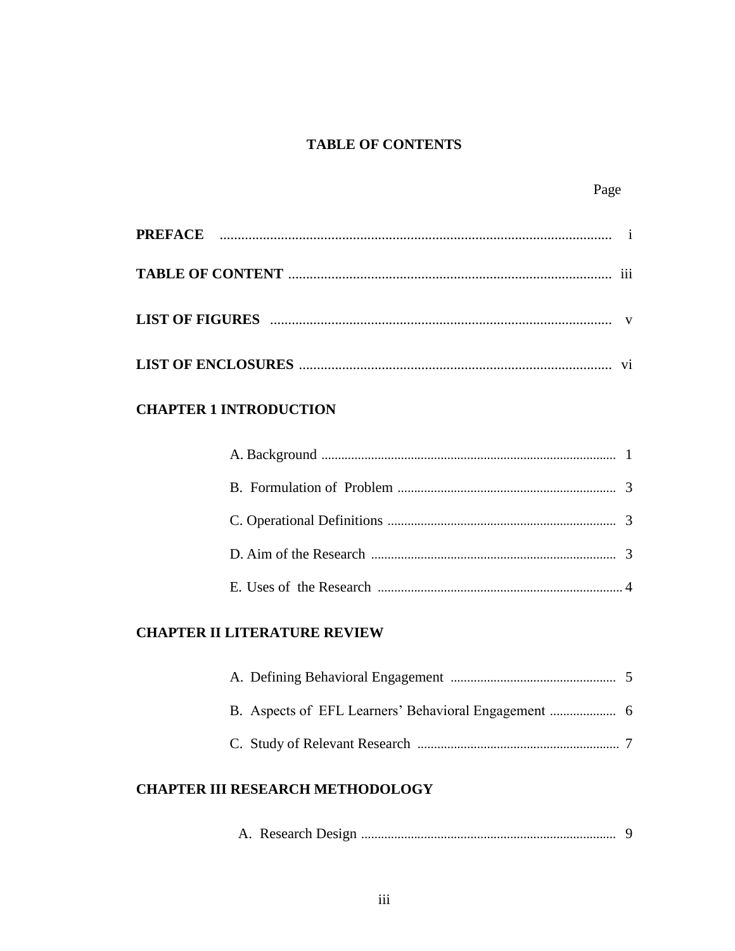## **TABLE OF CONTENTS**

Page

## **CHAPTER 1 INTRODUCTION**

## **CHAPTER II LITERATURE REVIEW**

# **CHAPTER III RESEARCH METHODOLOGY**

|--|--|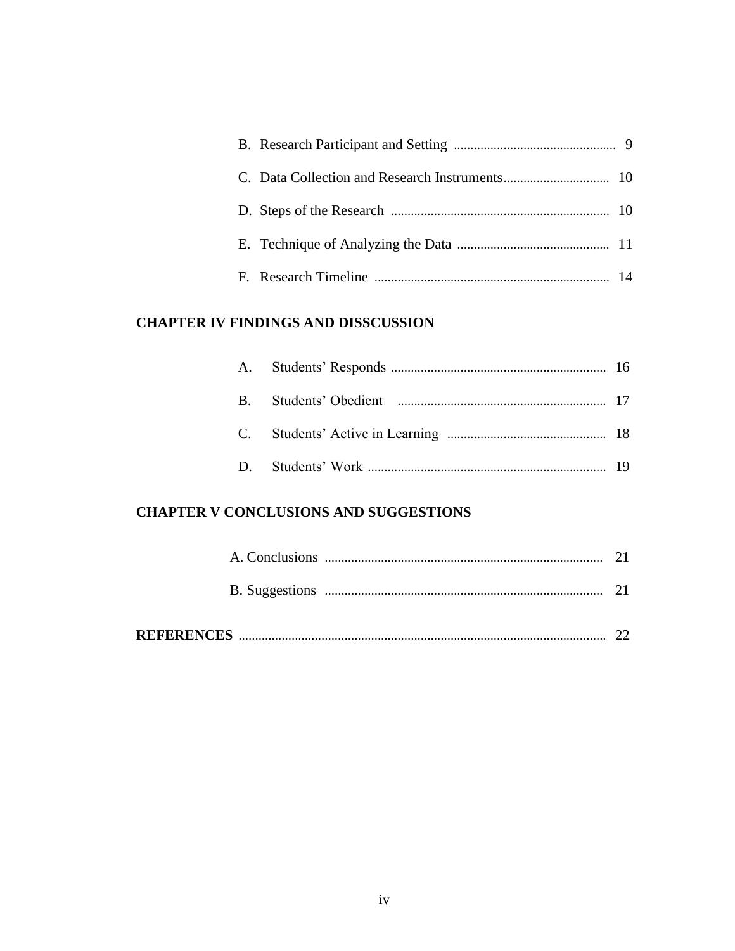## **CHAPTER IV FINDINGS AND DISSCUSSION**

# **CHAPTER V CONCLUSIONS AND SUGGESTIONS**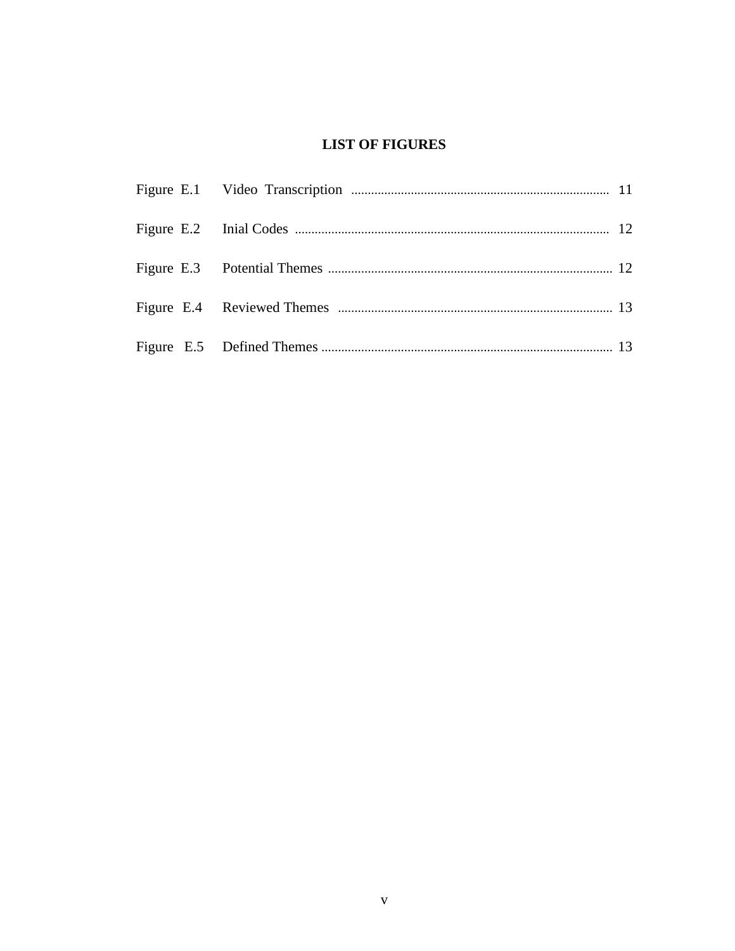## **LIST OF FIGURES**